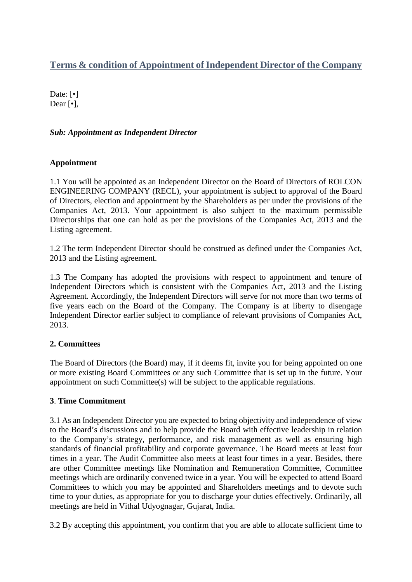# **Terms & condition of Appointment of Independent Director of the Company**

Date: [ $\bullet$ ] Dear [•],

### *Sub: Appointment as Independent Director*

#### **Appointment**

1.1 You will be appointed as an Independent Director on the Board of Directors of ROLCON ENGINEERING COMPANY (RECL), your appointment is subject to approval of the Board of Directors, election and appointment by the Shareholders as per under the provisions of the Companies Act, 2013. Your appointment is also subject to the maximum permissible Directorships that one can hold as per the provisions of the Companies Act, 2013 and the Listing agreement.

1.2 The term Independent Director should be construed as defined under the Companies Act, 2013 and the Listing agreement.

1.3 The Company has adopted the provisions with respect to appointment and tenure of Independent Directors which is consistent with the Companies Act, 2013 and the Listing Agreement. Accordingly, the Independent Directors will serve for not more than two terms of five years each on the Board of the Company. The Company is at liberty to disengage Independent Director earlier subject to compliance of relevant provisions of Companies Act, 2013.

### **2. Committees**

The Board of Directors (the Board) may, if it deems fit, invite you for being appointed on one or more existing Board Committees or any such Committee that is set up in the future. Your appointment on such Committee(s) will be subject to the applicable regulations.

#### **3**. **Time Commitment**

3.1 As an Independent Director you are expected to bring objectivity and independence of view to the Board's discussions and to help provide the Board with effective leadership in relation to the Company's strategy, performance, and risk management as well as ensuring high standards of financial profitability and corporate governance. The Board meets at least four times in a year. The Audit Committee also meets at least four times in a year. Besides, there are other Committee meetings like Nomination and Remuneration Committee, Committee meetings which are ordinarily convened twice in a year. You will be expected to attend Board Committees to which you may be appointed and Shareholders meetings and to devote such time to your duties, as appropriate for you to discharge your duties effectively. Ordinarily, all meetings are held in Vithal Udyognagar, Gujarat, India.

3.2 By accepting this appointment, you confirm that you are able to allocate sufficient time to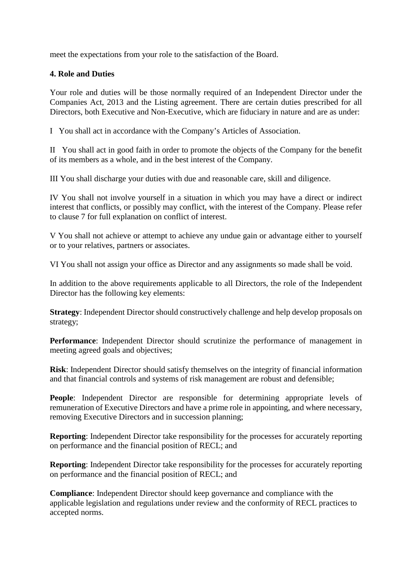meet the expectations from your role to the satisfaction of the Board.

### **4. Role and Duties**

Your role and duties will be those normally required of an Independent Director under the Companies Act, 2013 and the Listing agreement. There are certain duties prescribed for all Directors, both Executive and Non-Executive, which are fiduciary in nature and are as under:

I You shall act in accordance with the Company's Articles of Association.

II You shall act in good faith in order to promote the objects of the Company for the benefit of its members as a whole, and in the best interest of the Company.

III You shall discharge your duties with due and reasonable care, skill and diligence.

IV You shall not involve yourself in a situation in which you may have a direct or indirect interest that conflicts, or possibly may conflict, with the interest of the Company. Please refer to clause 7 for full explanation on conflict of interest.

V You shall not achieve or attempt to achieve any undue gain or advantage either to yourself or to your relatives, partners or associates.

VI You shall not assign your office as Director and any assignments so made shall be void.

In addition to the above requirements applicable to all Directors, the role of the Independent Director has the following key elements:

**Strategy**: Independent Director should constructively challenge and help develop proposals on strategy;

**Performance**: Independent Director should scrutinize the performance of management in meeting agreed goals and objectives;

**Risk**: Independent Director should satisfy themselves on the integrity of financial information and that financial controls and systems of risk management are robust and defensible;

**People**: Independent Director are responsible for determining appropriate levels of remuneration of Executive Directors and have a prime role in appointing, and where necessary, removing Executive Directors and in succession planning;

**Reporting**: Independent Director take responsibility for the processes for accurately reporting on performance and the financial position of RECL; and

**Reporting**: Independent Director take responsibility for the processes for accurately reporting on performance and the financial position of RECL; and

**Compliance**: Independent Director should keep governance and compliance with the applicable legislation and regulations under review and the conformity of RECL practices to accepted norms.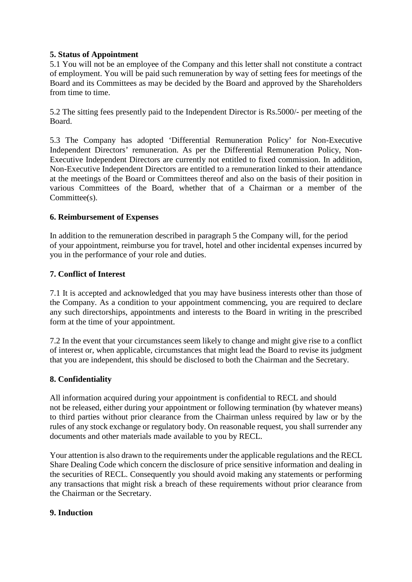### **5. Status of Appointment**

5.1 You will not be an employee of the Company and this letter shall not constitute a contract of employment. You will be paid such remuneration by way of setting fees for meetings of the Board and its Committees as may be decided by the Board and approved by the Shareholders from time to time.

5.2 The sitting fees presently paid to the Independent Director is Rs.5000/- per meeting of the Board.

5.3 The Company has adopted 'Differential Remuneration Policy' for Non-Executive Independent Directors' remuneration. As per the Differential Remuneration Policy, Non-Executive Independent Directors are currently not entitled to fixed commission. In addition, Non-Executive Independent Directors are entitled to a remuneration linked to their attendance at the meetings of the Board or Committees thereof and also on the basis of their position in various Committees of the Board, whether that of a Chairman or a member of the Committee(s).

### **6. Reimbursement of Expenses**

In addition to the remuneration described in paragraph 5 the Company will, for the period of your appointment, reimburse you for travel, hotel and other incidental expenses incurred by you in the performance of your role and duties.

### **7. Conflict of Interest**

7.1 It is accepted and acknowledged that you may have business interests other than those of the Company. As a condition to your appointment commencing, you are required to declare any such directorships, appointments and interests to the Board in writing in the prescribed form at the time of your appointment.

7.2 In the event that your circumstances seem likely to change and might give rise to a conflict of interest or, when applicable, circumstances that might lead the Board to revise its judgment that you are independent, this should be disclosed to both the Chairman and the Secretary.

### **8. Confidentiality**

All information acquired during your appointment is confidential to RECL and should not be released, either during your appointment or following termination (by whatever means) to third parties without prior clearance from the Chairman unless required by law or by the rules of any stock exchange or regulatory body. On reasonable request, you shall surrender any documents and other materials made available to you by RECL.

Your attention is also drawn to the requirements under the applicable regulations and the RECL Share Dealing Code which concern the disclosure of price sensitive information and dealing in the securities of RECL. Consequently you should avoid making any statements or performing any transactions that might risk a breach of these requirements without prior clearance from the Chairman or the Secretary.

#### **9. Induction**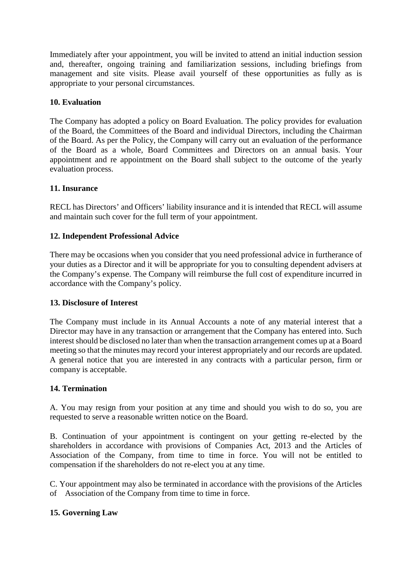Immediately after your appointment, you will be invited to attend an initial induction session and, thereafter, ongoing training and familiarization sessions, including briefings from management and site visits. Please avail yourself of these opportunities as fully as is appropriate to your personal circumstances.

### **10. Evaluation**

The Company has adopted a policy on Board Evaluation. The policy provides for evaluation of the Board, the Committees of the Board and individual Directors, including the Chairman of the Board. As per the Policy, the Company will carry out an evaluation of the performance of the Board as a whole, Board Committees and Directors on an annual basis. Your appointment and re appointment on the Board shall subject to the outcome of the yearly evaluation process.

#### **11. Insurance**

RECL has Directors' and Officers' liability insurance and it is intended that RECL will assume and maintain such cover for the full term of your appointment.

#### **12. Independent Professional Advice**

There may be occasions when you consider that you need professional advice in furtherance of your duties as a Director and it will be appropriate for you to consulting dependent advisers at the Company's expense. The Company will reimburse the full cost of expenditure incurred in accordance with the Company's policy.

#### **13. Disclosure of Interest**

The Company must include in its Annual Accounts a note of any material interest that a Director may have in any transaction or arrangement that the Company has entered into. Such interest should be disclosed no later than when the transaction arrangement comes up at a Board meeting so that the minutes may record your interest appropriately and our records are updated. A general notice that you are interested in any contracts with a particular person, firm or company is acceptable.

#### **14. Termination**

A. You may resign from your position at any time and should you wish to do so, you are requested to serve a reasonable written notice on the Board.

B. Continuation of your appointment is contingent on your getting re-elected by the shareholders in accordance with provisions of Companies Act, 2013 and the Articles of Association of the Company, from time to time in force. You will not be entitled to compensation if the shareholders do not re-elect you at any time.

C. Your appointment may also be terminated in accordance with the provisions of the Articles of Association of the Company from time to time in force.

#### **15. Governing Law**